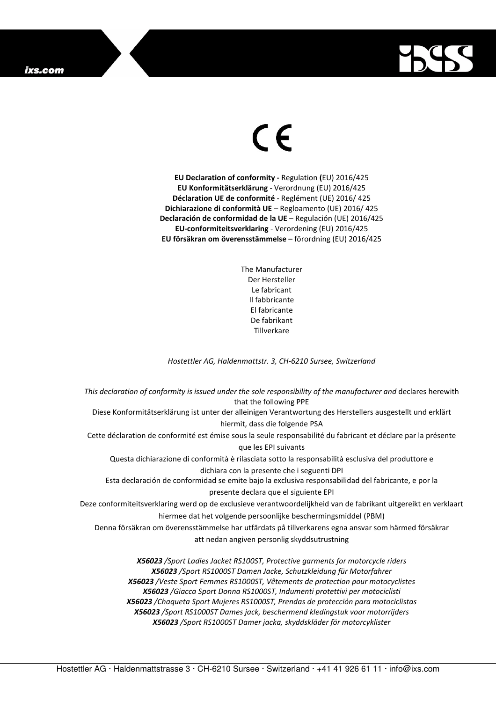## ixs.com



## $\in$

**EU Declaration of conformity -** Regulation **(**EU) 2016/425 **EU Konformitätserklärung** - Verordnung (EU) 2016/425 **Déclaration UE de conformité** - Reglément (UE) 2016/ 425 **Dichiarazione di conformità UE** – Regloamento (UE) 2016/ 425 **Declaración de conformidad de la UE** – Regulación (UE) 2016/425 **EU-conformiteitsverklaring** - Verordening (EU) 2016/425 **EU försäkran om överensstämmelse** – förordning (EU) 2016/425

> The Manufacturer Der Hersteller Le fabricant Il fabbricante El fabricante De fabrikant **Tillverkare**

*Hostettler AG, Haldenmattstr. 3, CH-6210 Sursee, Switzerland* 

*This declaration of conformity is issued under the sole responsibility of the manufacturer and* declares herewith that the following PPE Diese Konformitätserklärung ist unter der alleinigen Verantwortung des Herstellers ausgestellt und erklärt hiermit, dass die folgende PSA Cette déclaration de conformité est émise sous la seule responsabilité du fabricant et déclare par la présente que les EPI suivants Questa dichiarazione di conformità è rilasciata sotto la responsabilità esclusiva del produttore e dichiara con la presente che i seguenti DPI Esta declaración de conformidad se emite bajo la exclusiva responsabilidad del fabricante, e por la presente declara que el siguiente EPI Deze conformiteitsverklaring werd op de exclusieve verantwoordelijkheid van de fabrikant uitgereikt en verklaart hiermee dat het volgende persoonlijke beschermingsmiddel (PBM) Denna försäkran om överensstämmelse har utfärdats på tillverkarens egna ansvar som härmed försäkrar att nedan angiven personlig skyddsutrustning *X56023 /Sport Ladies Jacket RS100ST, Protective garments for motorcycle riders* 

*X56023 /Sport RS1000ST Damen Jacke, Schutzkleidung für Motorfahrer X56023 /Veste Sport Femmes RS1000ST, Vêtements de protection pour motocyclistes X56023 /Giacca Sport Donna RS1000ST, Indumenti protettivi per motociclisti X56023 /Chaqueta Sport Mujeres RS1000ST, Prendas de protección para motociclistas X56023 /Sport RS1000ST Dames jack, beschermend kledingstuk voor motorrijders X56023 /Sport RS1000ST Damer jacka, skyddskläder för motorcyklister*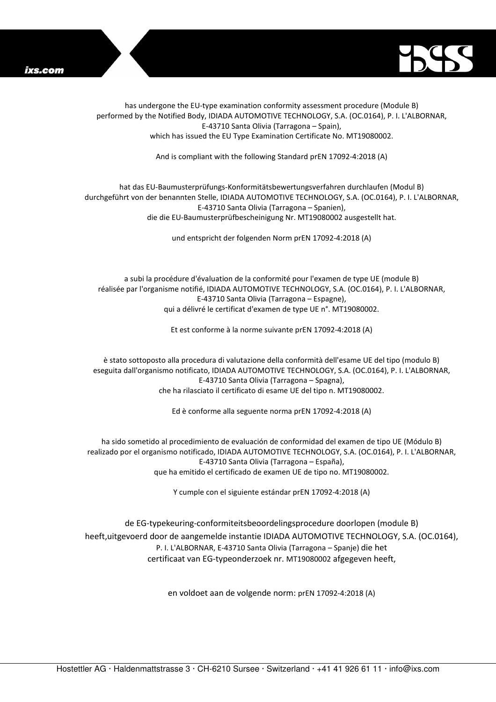



has undergone the EU-type examination conformity assessment procedure (Module B) performed by the Notified Body, IDIADA AUTOMOTIVE TECHNOLOGY, S.A. (OC.0164), P. I. L'ALBORNAR, E-43710 Santa Olivia (Tarragona – Spain), which has issued the EU Type Examination Certificate No. MT19080002.

And is compliant with the following Standard prEN 17092-4:2018 (A)

## hat das EU-Baumusterprüfungs-Konformitätsbewertungsverfahren durchlaufen (Modul B) durchgeführt von der benannten Stelle, IDIADA AUTOMOTIVE TECHNOLOGY, S.A. (OC.0164), P. I. L'ALBORNAR, E-43710 Santa Olivia (Tarragona – Spanien), die die EU-Baumusterprüfbescheinigung Nr. MT19080002 ausgestellt hat.

und entspricht der folgenden Norm prEN 17092-4:2018 (A)

a subi la procédure d'évaluation de la conformité pour l'examen de type UE (module B) réalisée par l'organisme notifié, IDIADA AUTOMOTIVE TECHNOLOGY, S.A. (OC.0164), P. I. L'ALBORNAR, E-43710 Santa Olivia (Tarragona – Espagne), qui a délivré le certificat d'examen de type UE n°. MT19080002.

Et est conforme à la norme suivante prEN 17092-4:2018 (A)

è stato sottoposto alla procedura di valutazione della conformità dell'esame UE del tipo (modulo B) eseguita dall'organismo notificato, IDIADA AUTOMOTIVE TECHNOLOGY, S.A. (OC.0164), P. I. L'ALBORNAR, E-43710 Santa Olivia (Tarragona – Spagna), che ha rilasciato il certificato di esame UE del tipo n. MT19080002.

Ed è conforme alla seguente norma prEN 17092-4:2018 (A)

ha sido sometido al procedimiento de evaluación de conformidad del examen de tipo UE (Módulo B) realizado por el organismo notificado, IDIADA AUTOMOTIVE TECHNOLOGY, S.A. (OC.0164), P. I. L'ALBORNAR, E-43710 Santa Olivia (Tarragona – España), que ha emitido el certificado de examen UE de tipo no. MT19080002.

Y cumple con el siguiente estándar prEN 17092-4:2018 (A)

de EG-typekeuring-conformiteitsbeoordelingsprocedure doorlopen (module B) heeft,uitgevoerd door de aangemelde instantie IDIADA AUTOMOTIVE TECHNOLOGY, S.A. (OC.0164), P. I. L'ALBORNAR, E-43710 Santa Olivia (Tarragona – Spanje) die het certificaat van EG-typeonderzoek nr. MT19080002 afgegeven heeft,

en voldoet aan de volgende norm: prEN 17092-4:2018 (A)